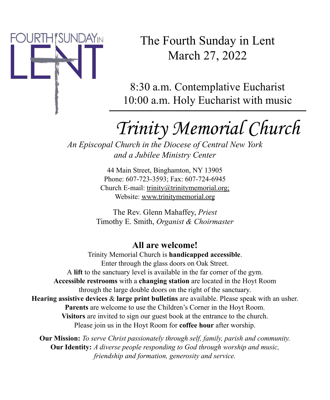

The Fourth Sunday in Lent March 27, 2022

8:30 a.m. Contemplative Eucharist 10:00 a.m. Holy Eucharist with music

# Trinity Memorial Church

*An Episcopal Church in the Diocese of Central New York and a Jubilee Ministry Center*

> 44 Main Street, Binghamton, NY 13905 Phone: 607-723-3593; Fax: 607-724-6945 Church E-mail: trinity@trinitymemorial.org; Website: www.trinitymemorial.org

The Rev. Glenn Mahaffey, *Priest* Timothy E. Smith, *Organist & Choirmaster*

# **All are welcome!**

Trinity Memorial Church is **handicapped accessible**. Enter through the glass doors on Oak Street. A **lift** to the sanctuary level is available in the far corner of the gym. **Accessible restrooms** with a **changing station** are located in the Hoyt Room through the large double doors on the right of the sanctuary. **Hearing assistive devices** & **large print bulletins** are available. Please speak with an usher. **Parents** are welcome to use the Children's Corner in the Hoyt Room. **Visitors** are invited to sign our guest book at the entrance to the church. Please join us in the Hoyt Room for **coffee hour** after worship.

**Our Mission:** *To serve Christ passionately through self, family, parish and community.* **Our Identity:** *A diverse people responding to God through worship and music, friendship and formation, generosity and service.*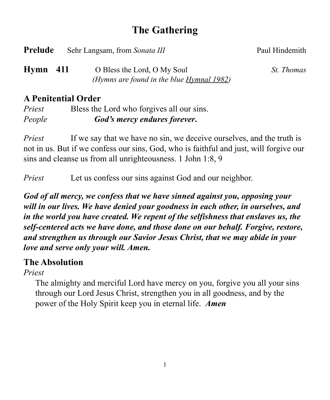# **The Gathering**

| Prelude    | Sehr Langsam, from Sonata III                                              | Paul Hindemith    |
|------------|----------------------------------------------------------------------------|-------------------|
| $Hvmn$ 411 | O Bless the Lord, O My Soul<br>(Hymns are found in the blue $Hymnal$ 1982) | <i>St. Thomas</i> |

#### **A Penitential Order**

*Priest* Bless the Lord who forgives all our sins. *People God's mercy endures forever***.**

*Priest* If we say that we have no sin, we deceive ourselves, and the truth is not in us. But if we confess our sins, God, who is faithful and just, will forgive our sins and cleanse us from all unrighteousness. 1 John 1:8, 9

*Priest* Let us confess our sins against God and our neighbor.

*God of all mercy, we confess that we have sinned against you, opposing your will in our lives. We have denied your goodness in each other, in ourselves, and in the world you have created. We repent of the selfishness that enslaves us, the self-centered acts we have done, and those done on our behalf. Forgive, restore, and strengthen us through our Savior Jesus Christ, that we may abide in your love and serve only your will. Amen.*

# **The Absolution**

*Priest*

The almighty and merciful Lord have mercy on you, forgive you all your sins through our Lord Jesus Christ, strengthen you in all goodness, and by the power of the Holy Spirit keep you in eternal life. *Amen*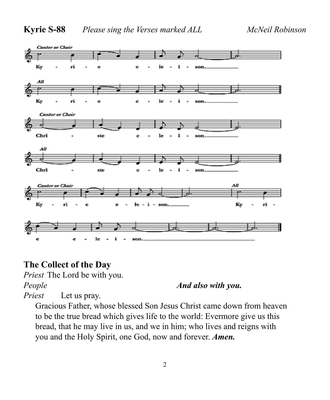

#### **The Collect of the Day**

*Priest* The Lord be with you.

*People And also with you.*

*Priest* Let us pray.

Gracious Father, whose blessed Son Jesus Christ came down from heaven to be the true bread which gives life to the world: Evermore give us this bread, that he may live in us, and we in him; who lives and reigns with you and the Holy Spirit, one God, now and forever. *Amen.*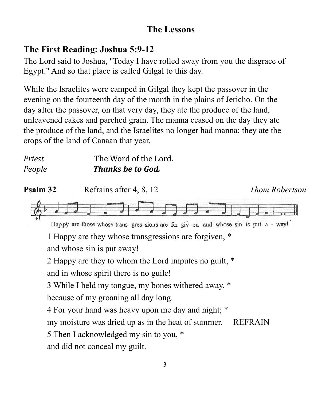# **The Lessons**

# **The First Reading: Joshua 5:9-12**

The Lord said to Joshua, "Today I have rolled away from you the disgrace of Egypt." And so that place is called Gilgal to this day.

While the Israelites were camped in Gilgal they kept the passover in the evening on the fourteenth day of the month in the plains of Jericho. On the day after the passover, on that very day, they ate the produce of the land, unleavened cakes and parched grain. The manna ceased on the day they ate the produce of the land, and the Israelites no longer had manna; they ate the crops of the land of Canaan that year.

| Priest   | The Word of the Lord.                                                               |                       |
|----------|-------------------------------------------------------------------------------------|-----------------------|
| People   | <b>Thanks be to God.</b>                                                            |                       |
| Psalm 32 | Refrains after 4, 8, 12                                                             | <b>Thom Robertson</b> |
|          | Happy are those whose trans-gres-sions are for giv-en and whose sin is put a - way! |                       |
|          | 1 Happy are they whose transgressions are forgiven, *                               |                       |
|          | and whose sin is put away!                                                          |                       |
|          | 2 Happy are they to whom the Lord imputes no guilt, *                               |                       |
|          | and in whose spirit there is no guile!                                              |                       |
|          | 3 While I held my tongue, my bones withered away, *                                 |                       |
|          | because of my groaning all day long.                                                |                       |
|          | 4 For your hand was heavy upon me day and night; *                                  |                       |
|          | my moisture was dried up as in the heat of summer.                                  | <b>REFRAIN</b>        |
|          | 5 Then I acknowledged my sin to you, *                                              |                       |
|          | and did not conceal my guilt.                                                       |                       |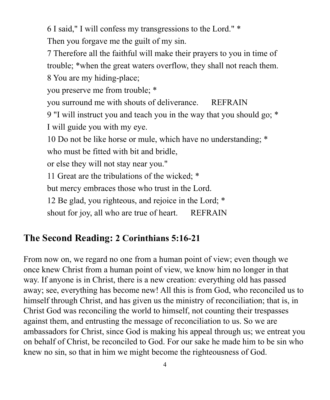6 I said," I will confess my transgressions to the Lord." \* Then you forgave me the guilt of my sin.

7 Therefore all the faithful will make their prayers to you in time of trouble; \*when the great waters overflow, they shall not reach them. 8 You are my hiding-place;

you preserve me from trouble; \*

you surround me with shouts of deliverance. REFRAIN

9 "I will instruct you and teach you in the way that you should go; \* I will guide you with my eye.

10 Do not be like horse or mule, which have no understanding; \* who must be fitted with bit and bridle,

or else they will not stay near you."

11 Great are the tribulations of the wicked; \*

but mercy embraces those who trust in the Lord.

12 Be glad, you righteous, and rejoice in the Lord; \*

shout for joy, all who are true of heart. REFRAIN

# **The Second Reading: 2 Corinthians 5:16-21**

From now on, we regard no one from a human point of view; even though we once knew Christ from a human point of view, we know him no longer in that way. If anyone is in Christ, there is a new creation: everything old has passed away; see, everything has become new! All this is from God, who reconciled us to himself through Christ, and has given us the ministry of reconciliation; that is, in Christ God was reconciling the world to himself, not counting their trespasses against them, and entrusting the message of reconciliation to us. So we are ambassadors for Christ, since God is making his appeal through us; we entreat you on behalf of Christ, be reconciled to God. For our sake he made him to be sin who knew no sin, so that in him we might become the righteousness of God.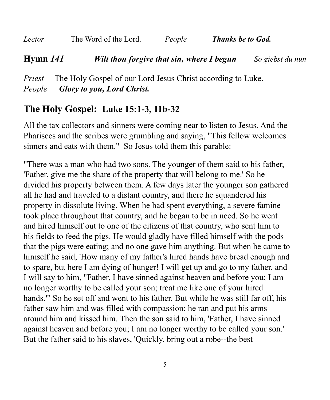| Lector   | The Word of the Lord.                                       | People | <b>Thanks be to God.</b> |                  |
|----------|-------------------------------------------------------------|--------|--------------------------|------------------|
| Hymn 141 | Wilt thou forgive that sin, where I begun                   |        |                          | So giebst du nun |
| Priest   | The Holy Gospel of our Lord Jesus Christ according to Luke. |        |                          |                  |

*People Glory to you, Lord Christ.*

# **The Holy Gospel: Luke 15:1-3, 11b-32**

All the tax collectors and sinners were coming near to listen to Jesus. And the Pharisees and the scribes were grumbling and saying, "This fellow welcomes sinners and eats with them." So Jesus told them this parable:

"There was a man who had two sons. The younger of them said to his father, 'Father, give me the share of the property that will belong to me.' So he divided his property between them. A few days later the younger son gathered all he had and traveled to a distant country, and there he squandered his property in dissolute living. When he had spent everything, a severe famine took place throughout that country, and he began to be in need. So he went and hired himself out to one of the citizens of that country, who sent him to his fields to feed the pigs. He would gladly have filled himself with the pods that the pigs were eating; and no one gave him anything. But when he came to himself he said, 'How many of my father's hired hands have bread enough and to spare, but here I am dying of hunger! I will get up and go to my father, and I will say to him, "Father, I have sinned against heaven and before you; I am no longer worthy to be called your son; treat me like one of your hired hands."' So he set off and went to his father. But while he was still far off, his father saw him and was filled with compassion; he ran and put his arms around him and kissed him. Then the son said to him, 'Father, I have sinned against heaven and before you; I am no longer worthy to be called your son.' But the father said to his slaves, 'Quickly, bring out a robe--the best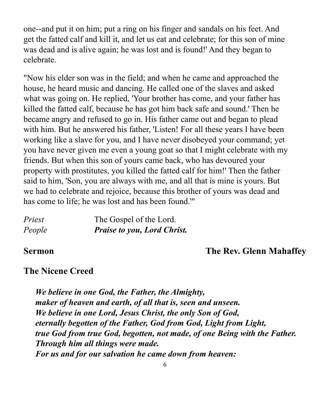one--and put it on him; put a ring on his finger and sandals on his feet. And get the fatted calf and kill it, and let us eat and celebrate; for this son of mine was dead and is alive again; he was lost and is found!' And they began to celebrate.

"Now his elder son was in the field; and when he came and approached the house, he heard music and dancing. He called one of the slaves and asked what was going on. He replied, 'Your brother has come, and your father has killed the fatted calf, because he has got him back safe and sound.' Then he became angry and refused to go in. His father came out and began to plead with him. But he answered his father, 'Listen! For all these years I have been working like a slave for you, and I have never disobeyed your command; yet you have never given me even a young goat so that I might celebrate with my friends. But when this son of yours came back, who has devoured your property with prostitutes, you killed the fatted calf for him!' Then the father said to him, 'Son, you are always with me, and all that is mine is yours. But we had to celebrate and rejoice, because this brother of yours was dead and has come to life; he was lost and has been found.'"

| Priest | The Gospel of the Lord.            |
|--------|------------------------------------|
| People | <b>Praise to you, Lord Christ.</b> |

#### **Sermon The Rev. Glenn Mahaffey**

#### **The Nicene Creed**

*We believe in one God, the Father, the Almighty, maker of heaven and earth, of all that is, seen and unseen. We believe in one Lord, Jesus Christ, the only Son of God, eternally begotten of the Father, God from God, Light from Light, true God from true God, begotten, not made, of one Being with the Father. Through him all things were made. For us and for our salvation he came down from heaven:*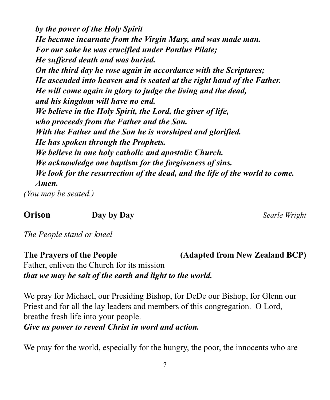*by the power of the Holy Spirit He became incarnate from the Virgin Mary, and was made man. For our sake he was crucified under Pontius Pilate; He suf ered death and was buried. On the third day he rose again in accordance with the Scriptures; He ascended into heaven and is seated at the right hand of the Father. He will come again in glory to judge the living and the dead, and his kingdom will have no end. We believe in the Holy Spirit, the Lord, the giver of life, who proceeds from the Father and the Son. With the Father and the Son he is worshiped and glorified. He has spoken through the Prophets. We believe in one holy catholic and apostolic Church. We acknowledge one baptism for the forgiveness of sins. We look for the resurrection of the dead, and the life of the world to come. Amen.*

*(You may be seated.)*

**Orison Day by Day** *Searle Wright*

*The People stand or kneel*

**The Prayers of the People (Adapted from New Zealand BCP)** Father, enliven the Church for its mission *that we may be salt of the earth and light to the world.*

We pray for Michael, our Presiding Bishop, for DeDe our Bishop, for Glenn our Priest and for all the lay leaders and members of this congregation. O Lord, breathe fresh life into your people. *Give us power to reveal Christ in word and action.*

We pray for the world, especially for the hungry, the poor, the innocents who are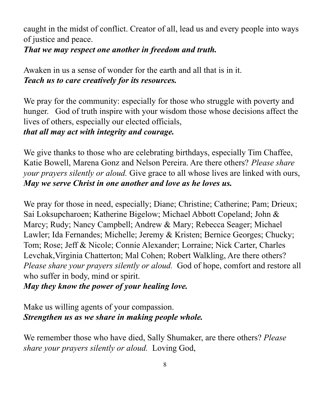caught in the midst of conflict. Creator of all, lead us and every people into ways of justice and peace.

*That we may respect one another in freedom and truth.*

Awaken in us a sense of wonder for the earth and all that is in it. *Teach us to care creatively for its resources.*

We pray for the community: especially for those who struggle with poverty and hunger. God of truth inspire with your wisdom those whose decisions affect the lives of others, especially our elected officials,

*that all may act with integrity and courage.*

We give thanks to those who are celebrating birthdays, especially Tim Chaffee, Katie Bowell, Marena Gonz and Nelson Pereira. Are there others? *Please share your prayers silently or aloud.* Give grace to all whose lives are linked with ours, *May we serve Christ in one another and love as he loves us.*

We pray for those in need, especially; Diane; Christine; Catherine; Pam; Drieux; Sai Loksupcharoen; Katherine Bigelow; Michael Abbott Copeland; John & Marcy; Rudy; Nancy Campbell; Andrew & Mary; Rebecca Seager; Michael Lawler; Ida Fernandes; Michelle; Jeremy & Kristen; Bernice Georges; Chucky; Tom; Rose; Jeff & Nicole; Connie Alexander; Lorraine; Nick Carter, Charles Levchak,Virginia Chatterton; Mal Cohen; Robert Walkling, Are there others? *Please share your prayers silently or aloud.* God of hope, comfort and restore all who suffer in body, mind or spirit.

*May they know the power of your healing love.*

Make us willing agents of your compassion. *Strengthen us as we share in making people whole.*

We remember those who have died, Sally Shumaker, are there others? *Please share your prayers silently or aloud.* Loving God,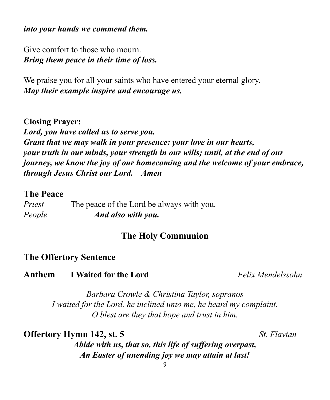*into your hands we commend them.*

Give comfort to those who mourn. *Bring them peace in their time of loss.*

We praise you for all your saints who have entered your eternal glory. *May their example inspire and encourage us.*

**Closing Prayer:** *Lord, you have called us to serve you. Grant that we may walk in your presence: your love in our hearts, your truth in our minds, your strength in our wills; until, at the end of our journey, we know the joy of our homecoming and the welcome of your embrace, through Jesus Christ our Lord. Amen*

#### **The Peace**

*Priest* The peace of the Lord be always with you. *People And also with you.*

#### **The Holy Communion**

#### **The Offertory Sentence**

#### **Anthem I Waited for the Lord** *Felix Mendelssohn*

*Barbara Crowle & Christina Taylor, sopranos I waited for the Lord, he inclined unto me, he heard my complaint. O blest are they that hope and trust in him.*

**Offertory Hymn 142, st. 5** *St. Flavian*

*Abide with us, that so, this life of suf ering overpast, An Easter of unending joy we may attain at last!*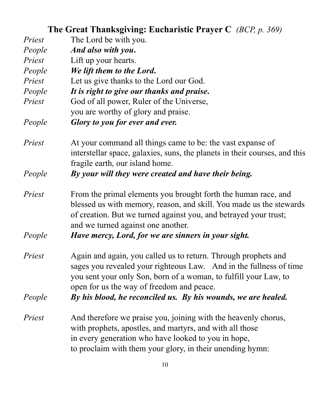# **The Great Thanksgiving: Eucharistic Prayer C** *(BCP, p. 369)*

| Priest | The Lord be with you.                                                                                                                                                                                                                                 |
|--------|-------------------------------------------------------------------------------------------------------------------------------------------------------------------------------------------------------------------------------------------------------|
| People | And also with you.                                                                                                                                                                                                                                    |
| Priest | Lift up your hearts.                                                                                                                                                                                                                                  |
| People | We lift them to the Lord.                                                                                                                                                                                                                             |
| Priest | Let us give thanks to the Lord our God.                                                                                                                                                                                                               |
| People | It is right to give our thanks and praise.                                                                                                                                                                                                            |
| Priest | God of all power, Ruler of the Universe,                                                                                                                                                                                                              |
|        | you are worthy of glory and praise.                                                                                                                                                                                                                   |
| People | Glory to you for ever and ever.                                                                                                                                                                                                                       |
| Priest | At your command all things came to be: the vast expanse of                                                                                                                                                                                            |
|        | interstellar space, galaxies, suns, the planets in their courses, and this                                                                                                                                                                            |
|        | fragile earth, our island home.                                                                                                                                                                                                                       |
| People | By your will they were created and have their being.                                                                                                                                                                                                  |
| Priest | From the primal elements you brought forth the human race, and<br>blessed us with memory, reason, and skill. You made us the stewards<br>of creation. But we turned against you, and betrayed your trust;<br>and we turned against one another.       |
| People | Have mercy, Lord, for we are sinners in your sight.                                                                                                                                                                                                   |
| Priest | Again and again, you called us to return. Through prophets and<br>sages you revealed your righteous Law. And in the fullness of time<br>you sent your only Son, born of a woman, to fulfill your Law, to<br>open for us the way of freedom and peace. |
| People | By his blood, he reconciled us. By his wounds, we are healed.                                                                                                                                                                                         |
| Priest | And therefore we praise you, joining with the heavenly chorus,<br>with prophets, apostles, and martyrs, and with all those<br>in every generation who have looked to you in hope,<br>to proclaim with them your glory, in their unending hymn:        |
|        |                                                                                                                                                                                                                                                       |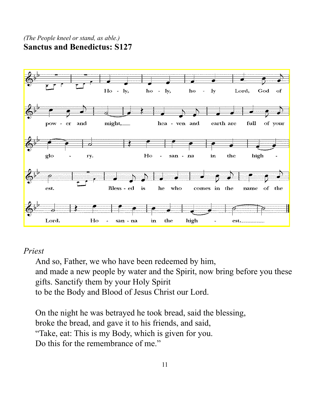#### *(The People kneel or stand, as able.)* **Sanctus and Benedictus: S127**



#### *Priest*

And so, Father, we who have been redeemed by him, and made a new people by water and the Spirit, now bring before you these gifts. Sanctify them by your Holy Spirit to be the Body and Blood of Jesus Christ our Lord.

On the night he was betrayed he took bread, said the blessing, broke the bread, and gave it to his friends, and said, "Take, eat: This is my Body, which is given for you. Do this for the remembrance of me."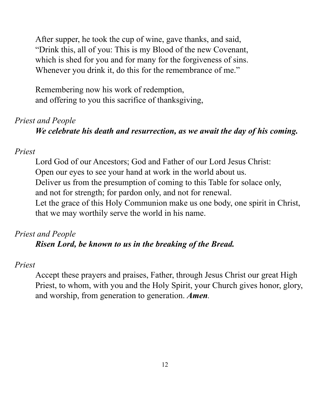After supper, he took the cup of wine, gave thanks, and said, "Drink this, all of you: This is my Blood of the new Covenant, which is shed for you and for many for the forgiveness of sins. Whenever you drink it, do this for the remembrance of me."

Remembering now his work of redemption, and offering to you this sacrifice of thanksgiving,

### *Priest and People*

## *We celebrate his death and resurrection, as we await the day of his coming.*

# *Priest*

Lord God of our Ancestors; God and Father of our Lord Jesus Christ: Open our eyes to see your hand at work in the world about us. Deliver us from the presumption of coming to this Table for solace only, and not for strength; for pardon only, and not for renewal. Let the grace of this Holy Communion make us one body, one spirit in Christ, that we may worthily serve the world in his name.

# *Priest and People*

# *Risen Lord, be known to us in the breaking of the Bread.*

# *Priest*

Accept these prayers and praises, Father, through Jesus Christ our great High Priest, to whom, with you and the Holy Spirit, your Church gives honor, glory, and worship, from generation to generation. *Amen.*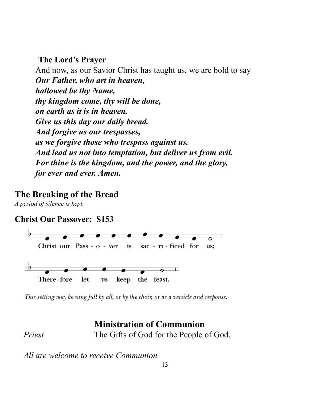#### **The Lord's Prayer**

And now, as our Savior Christ has taught us, we are bold to say *Our Father, who art in heaven, hallowed be thy Name, thy kingdom come, thy will be done, on earth as it is in heaven. Give us this day our daily bread. And forgive us our trespasses, as we forgive those who trespass against us. And lead us not into temptation, but deliver us from evil. For thine is the kingdom, and the power, and the glory, for ever and ever. Amen.*

#### **The Breaking of the Bread**

*A period of silence is kept.*

#### **Christ Our Passover: S153**



This setting may be sung full by all, or by the choir, or as a versicle and response.

### **Ministration of Communion**

*Priest* The Gifts of God for the People of God.

#### *All are welcome to receive Communion.*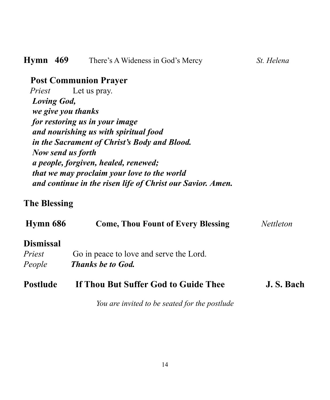#### **Post Communion Prayer**

*Priest* Let us pray. *Loving God, we give you thanks for restoring us in your image and nourishing us with spiritual food in the Sacrament of Christ's Body and Blood. Now send us forth a people, forgiven, healed, renewed; that we may proclaim your love to the world and continue in the risen life of Christ our Savior. Amen.*

#### **The Blessing**

| Hymn 686         | <b>Come, Thou Fount of Every Blessing</b> | Nettleton  |  |
|------------------|-------------------------------------------|------------|--|
| <b>Dismissal</b> |                                           |            |  |
| Priest           | Go in peace to love and serve the Lord.   |            |  |
| People           | <b>Thanks be to God.</b>                  |            |  |
| <b>Postlude</b>  | If Thou But Suffer God to Guide Thee      | J. S. Bach |  |

*You are invited to be seated for the postlude*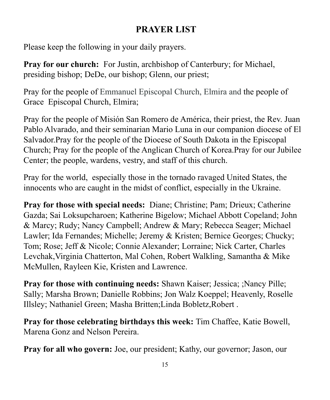# **PRAYER LIST**

Please keep the following in your daily prayers.

**Pray for our church:** For Justin, archbishop of Canterbury; for Michael, presiding bishop; DeDe, our bishop; Glenn, our priest;

Pray for the people of Emmanuel Episcopal Church, Elmira and the people of Grace Episcopal Church, Elmira;

Pray for the people of Misión San Romero de América, their priest, the Rev. Juan Pablo Alvarado, and their seminarian Mario Luna in our companion diocese of El Salvador.Pray for the people of the Diocese of South Dakota in the Episcopal Church; Pray for the people of the Anglican Church of Korea.Pray for our Jubilee Center; the people, wardens, vestry, and staff of this church.

Pray for the world, especially those in the tornado ravaged United States, the innocents who are caught in the midst of conflict, especially in the Ukraine.

**Pray for those with special needs:** Diane; Christine; Pam; Drieux; Catherine Gazda; Sai Loksupcharoen; Katherine Bigelow; Michael Abbott Copeland; John & Marcy; Rudy; Nancy Campbell; Andrew & Mary; Rebecca Seager; Michael Lawler; Ida Fernandes; Michelle; Jeremy & Kristen; Bernice Georges; Chucky; Tom; Rose; Jeff & Nicole; Connie Alexander; Lorraine; Nick Carter, Charles Levchak,Virginia Chatterton, Mal Cohen, Robert Walkling, Samantha & Mike McMullen, Rayleen Kie, Kristen and Lawrence.

**Pray for those with continuing needs:** Shawn Kaiser; Jessica; ;Nancy Pille; Sally; Marsha Brown; Danielle Robbins; Jon Walz Koeppel; Heavenly, Roselle Illsley; Nathaniel Green; Masha Britten;Linda Bobletz,Robert .

**Pray for those celebrating birthdays this week:** Tim Chaffee, Katie Bowell, Marena Gonz and Nelson Pereira.

**Pray for all who govern:** Joe, our president; Kathy, our governor; Jason, our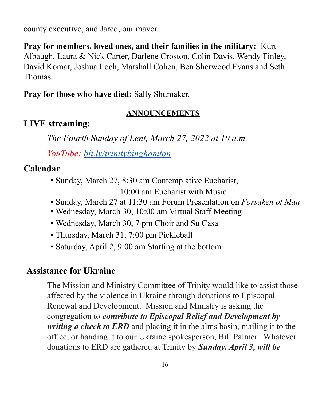county executive, and Jared, our mayor.

**Pray for members, loved ones, and their families in the military:** Kurt Albaugh, Laura & Nick Carter, Darlene Croston, Colin Davis, Wendy Finley, David Komar, Joshua Loch, Marshall Cohen, Ben Sherwood Evans and Seth Thomas.

**Pray for those who have died:** Sally Shumaker.

#### **ANNOUNCEMENTS**

### **LIVE streaming:**

*The Fourth Sunday of Lent, March 27, 2022 at 10 a.m.*

*YouTube: [bit.ly/trinitybinghamton](https://www.youtube.com/c/TrinityMemorialEpiscopalChurch)*

#### **Calendar**

▪ Sunday, March 27, 8:30 am Contemplative Eucharist,

10:00 am Eucharist with Music

- Sunday, March 27 at 11:30 am Forum Presentation on *Forsaken of Man*
- Wednesday, March 30, 10:00 am Virtual Staff Meeting
- Wednesday, March 30, 7 pm Choir and Su Casa
- Thursday, March 31, 7:00 pm Pickleball
- Saturday, April 2, 9:00 am Starting at the bottom

### **Assistance for Ukraine**

The Mission and Ministry Committee of Trinity would like to assist those affected by the violence in Ukraine through donations to Episcopal Renewal and Development. Mission and Ministry is asking the congregation to *contribute to Episcopal Relief and Development by writing a check to ERD* and placing it in the alms basin, mailing it to the office, or handing it to our Ukraine spokesperson, Bill Palmer. Whatever donations to ERD are gathered at Trinity by *Sunday, April 3, will be*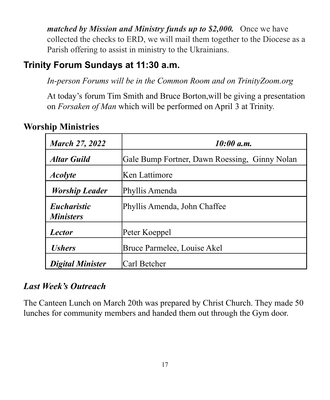*matched by Mission and Ministry funds up to \$2,000.* Once we have collected the checks to ERD, we will mail them together to the Diocese as a Parish offering to assist in ministry to the Ukrainians.

# **Trinity Forum Sundays at 11:30 a.m.**

*In-person Forums will be in the Common Room and on TrinityZoom.org*

At today's forum Tim Smith and Bruce Borton,will be giving a presentation on *Forsaken of Man* which will be performed on April 3 at Trinity.

| <b>March 27, 2022</b>                  | $10:00$ a.m.                                  |
|----------------------------------------|-----------------------------------------------|
| <b>Altar Guild</b>                     | Gale Bump Fortner, Dawn Roessing, Ginny Nolan |
| <b>Acolyte</b>                         | Ken Lattimore                                 |
| Worship Leader                         | Phyllis Amenda                                |
| <b>Eucharistic</b><br><b>Ministers</b> | Phyllis Amenda, John Chaffee                  |
| <b>Lector</b>                          | Peter Koeppel                                 |
| <b>Ushers</b>                          | Bruce Parmelee, Louise Akel                   |
| <b>Digital Minister</b>                | Carl Betcher                                  |

### **Worship Ministries**

# *Last Week's Outreach*

The Canteen Lunch on March 20th was prepared by Christ Church. They made 50 lunches for community members and handed them out through the Gym door.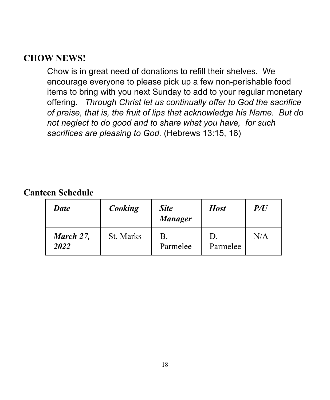## **CHOW NEWS!**

Chow is in great need of donations to refill their shelves. We encourage everyone to please pick up a few non-perishable food items to bring with you next Sunday to add to your regular monetary offering. *Through Christ let us continually offer to God the sacrifice of praise, that is, the fruit of lips that acknowledge his Name. But do not neglect to do good and to share what you have, for such sacrifices are pleasing to God.* (Hebrews 13:15, 16)

#### **Canteen Schedule**

| <b>Date</b>       | Cooking   | <b>Site</b><br><b>Manager</b> | <b>Host</b>       | P/U |
|-------------------|-----------|-------------------------------|-------------------|-----|
| March 27,<br>2022 | St. Marks | Β.<br>Parmelee                | $D$ .<br>Parmelee | N/A |